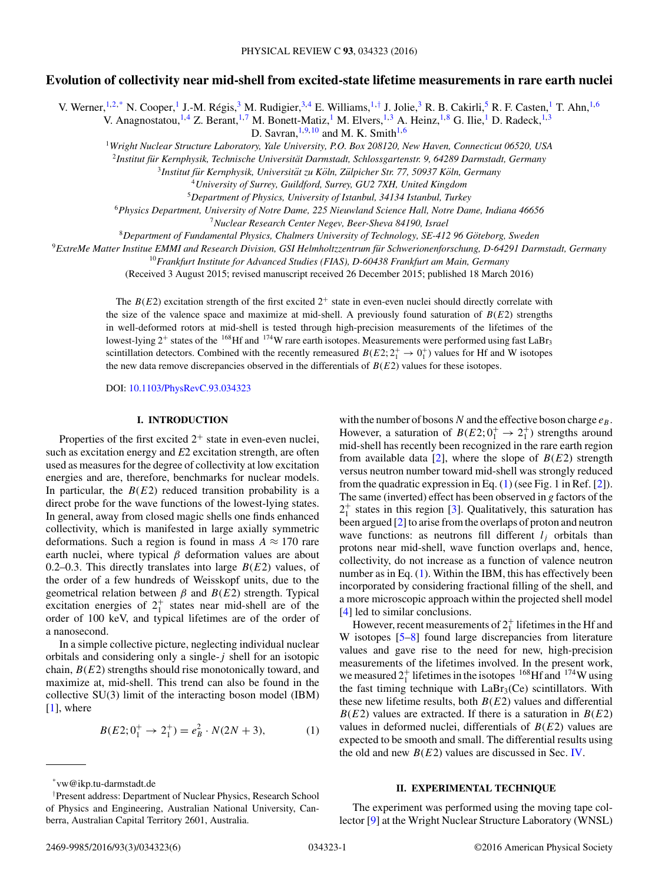# **Evolution of collectivity near mid-shell from excited-state lifetime measurements in rare earth nuclei**

V. Werner, <sup>1,2,\*</sup> N. Cooper, <sup>1</sup> J.-M. Régis, <sup>3</sup> M. Rudigier, <sup>3,4</sup> E. Williams, <sup>1,†</sup> J. Jolie, <sup>3</sup> R. B. Cakirli, <sup>5</sup> R. F. Casten, <sup>1</sup> T. Ahn, <sup>1,6</sup>

V. Anagnostatou,<sup>1,4</sup> Z. Berant,<sup>1,7</sup> M. Bonett-Matiz,<sup>1</sup> M. Elvers,<sup>1,3</sup> A. Heinz,<sup>1,8</sup> G. Ilie,<sup>1</sup> D. Radeck,<sup>1,3</sup>

D. Savran,  $^{1,9,10}$  and M. K. Smith $^{1,6}$ 

<sup>1</sup>*Wright Nuclear Structure Laboratory, Yale University, P.O. Box 208120, New Haven, Connecticut 06520, USA*

<sup>2</sup>*Institut fur Kernphysik, Technische Universit ¨ at Darmstadt, Schlossgartenstr. 9, 64289 Darmstadt, Germany ¨*

<sup>3</sup>*Institut fur Kernphysik, Universit ¨ at zu K ¨ oln, Z ¨ ulpicher Str. 77, 50937 K ¨ oln, Germany ¨*

<sup>4</sup>*University of Surrey, Guildford, Surrey, GU2 7XH, United Kingdom*

<sup>5</sup>*Department of Physics, University of Istanbul, 34134 Istanbul, Turkey*

<sup>6</sup>*Physics Department, University of Notre Dame, 225 Nieuwland Science Hall, Notre Dame, Indiana 46656*

<sup>7</sup>*Nuclear Research Center Negev, Beer-Sheva 84190, Israel*

<sup>8</sup>*Department of Fundamental Physics, Chalmers University of Technology, SE-412 96 Goteborg, Sweden ¨*

<sup>9</sup>*ExtreMe Matter Institue EMMI and Research Division, GSI Helmholtzzentrum fur Schwerionenforschung, D-64291 Darmstadt, Germany ¨*

<sup>10</sup>*Frankfurt Institute for Advanced Studies (FIAS), D-60438 Frankfurt am Main, Germany*

(Received 3 August 2015; revised manuscript received 26 December 2015; published 18 March 2016)

The  $B(E2)$  excitation strength of the first excited  $2^+$  state in even-even nuclei should directly correlate with the size of the valence space and maximize at mid-shell. A previously found saturation of  $B(E2)$  strengths in well-deformed rotors at mid-shell is tested through high-precision measurements of the lifetimes of the lowest-lying  $2^+$  states of the <sup>168</sup>Hf and <sup>174</sup>W rare earth isotopes. Measurements were performed using fast LaBr<sub>3</sub> scintillation detectors. Combined with the recently remeasured  $B(E2; 2^+_1 \rightarrow 0^+_1)$  values for Hf and W isotopes the new data remove discrepancies observed in the differentials of *B*(*E*2) values for these isotopes.

DOI: [10.1103/PhysRevC.93.034323](http://dx.doi.org/10.1103/PhysRevC.93.034323)

## **I. INTRODUCTION**

Properties of the first excited  $2^+$  state in even-even nuclei, such as excitation energy and *E*2 excitation strength, are often used as measures for the degree of collectivity at low excitation energies and are, therefore, benchmarks for nuclear models. In particular, the  $B(E2)$  reduced transition probability is a direct probe for the wave functions of the lowest-lying states. In general, away from closed magic shells one finds enhanced collectivity, which is manifested in large axially symmetric deformations. Such a region is found in mass  $A \approx 170$  rare earth nuclei, where typical  $\beta$  deformation values are about 0.2–0.3. This directly translates into large *B*(*E*2) values, of the order of a few hundreds of Weisskopf units, due to the geometrical relation between *β* and *B*(*E*2) strength. Typical excitation energies of  $2^+_1$  states near mid-shell are of the order of 100 keV, and typical lifetimes are of the order of a nanosecond.

In a simple collective picture, neglecting individual nuclear orbitals and considering only a single-*j* shell for an isotopic chain, *B*(*E*2) strengths should rise monotonically toward, and maximize at, mid-shell. This trend can also be found in the collective SU(3) limit of the interacting boson model (IBM) [\[1\]](#page-4-0), where

$$
B(E2; 0_1^+ \to 2_1^+) = e_B^2 \cdot N(2N + 3),\tag{1}
$$

with the number of bosons *N* and the effective boson charge  $e_B$ . However, a saturation of  $B(E2; 0^+_1 \rightarrow 2^+_1)$  strengths around mid-shell has recently been recognized in the rare earth region from available data  $[2]$ , where the slope of  $B(E2)$  strength versus neutron number toward mid-shell was strongly reduced from the quadratic expression in Eq.  $(1)$  (see Fig. 1 in Ref. [\[2\]](#page-4-0)). The same (inverted) effect has been observed in *g* factors of the  $2_1^+$  states in this region [\[3\]](#page-4-0). Qualitatively, this saturation has been argued [\[2\]](#page-4-0) to arise from the overlaps of proton and neutron wave functions: as neutrons fill different  $l_i$  orbitals than protons near mid-shell, wave function overlaps and, hence, collectivity, do not increase as a function of valence neutron number as in Eq. (1). Within the IBM, this has effectively been incorporated by considering fractional filling of the shell, and a more microscopic approach within the projected shell model [\[4\]](#page-5-0) led to similar conclusions.

However, recent measurements of  $2^+_1$  lifetimes in the Hf and W isotopes [\[5–8\]](#page-5-0) found large discrepancies from literature values and gave rise to the need for new, high-precision measurements of the lifetimes involved. In the present work, we measured  $2_1^+$  lifetimes in the isotopes <sup>168</sup>Hf and <sup>174</sup>W using the fast timing technique with  $LaBr<sub>3</sub>(Ce)$  scintillators. With these new lifetime results, both *B*(*E*2) values and differential  $B(E2)$  values are extracted. If there is a saturation in  $B(E2)$ values in deformed nuclei, differentials of *B*(*E*2) values are expected to be smooth and small. The differential results using the old and new  $B(E2)$  values are discussed in Sec. [IV.](#page-3-0)

#### **II. EXPERIMENTAL TECHNIQUE**

The experiment was performed using the moving tape collector [\[9\]](#page-5-0) at the Wright Nuclear Structure Laboratory (WNSL)

<sup>\*</sup>vw@ikp.tu-darmstadt.de

<sup>†</sup> Present address: Department of Nuclear Physics, Research School of Physics and Engineering, Australian National University, Canberra, Australian Capital Territory 2601, Australia.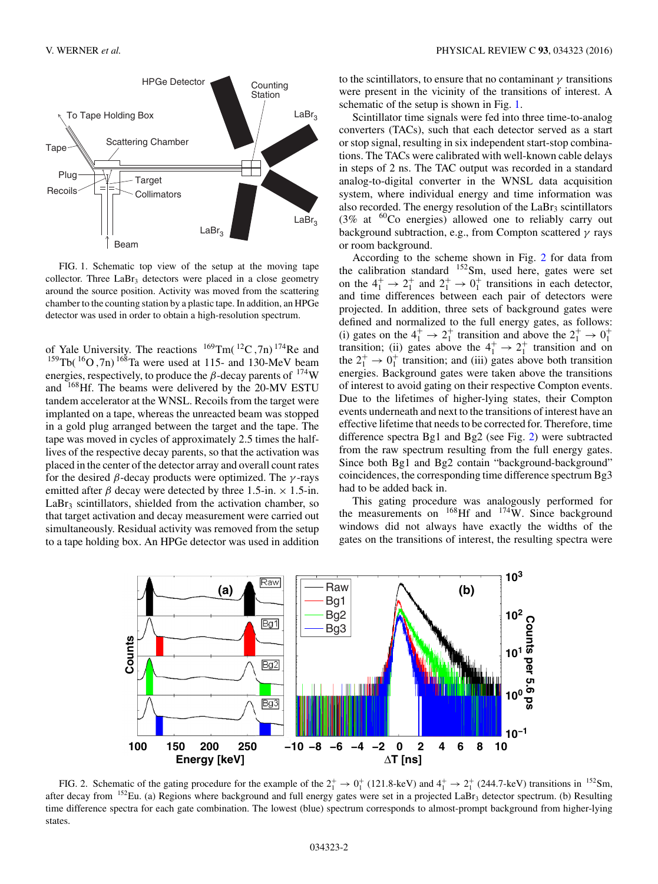

FIG. 1. Schematic top view of the setup at the moving tape collector. Three  $LaBr<sub>3</sub>$  detectors were placed in a close geometry around the source position. Activity was moved from the scattering chamber to the counting station by a plastic tape. In addition, an HPGe detector was used in order to obtain a high-resolution spectrum.

of Yale University. The reactions 169Tm( 12C *,*7n) 174Re and  $^{159}$ Tb( $^{16}$ O, 7n)  $^{168}$ Ta were used at 115- and 130-MeV beam energies, respectively, to produce the  $\beta$ -decay parents of  $^{174}$ W and 168Hf. The beams were delivered by the 20-MV ESTU tandem accelerator at the WNSL. Recoils from the target were implanted on a tape, whereas the unreacted beam was stopped in a gold plug arranged between the target and the tape. The tape was moved in cycles of approximately 2.5 times the halflives of the respective decay parents, so that the activation was placed in the center of the detector array and overall count rates for the desired *β*-decay products were optimized. The *γ* -rays emitted after  $\beta$  decay were detected by three 1.5-in.  $\times$  1.5-in.  $LaBr<sub>3</sub>$  scintillators, shielded from the activation chamber, so that target activation and decay measurement were carried out simultaneously. Residual activity was removed from the setup to a tape holding box. An HPGe detector was used in addition

to the scintillators, to ensure that no contaminant *γ* transitions were present in the vicinity of the transitions of interest. A schematic of the setup is shown in Fig. 1.

Scintillator time signals were fed into three time-to-analog converters (TACs), such that each detector served as a start or stop signal, resulting in six independent start-stop combinations. The TACs were calibrated with well-known cable delays in steps of 2 ns. The TAC output was recorded in a standard analog-to-digital converter in the WNSL data acquisition system, where individual energy and time information was also recorded. The energy resolution of the  $LaBr<sub>3</sub>$  scintillators (3% at  ${}^{60}$ Co energies) allowed one to reliably carry out background subtraction, e.g., from Compton scattered *γ* rays or room background.

According to the scheme shown in Fig. 2 for data from the calibration standard  $152$ Sm, used here, gates were set on the  $4_1^+ \rightarrow 2_1^+$  and  $2_1^+ \rightarrow 0_1^+$  transitions in each detector, and time differences between each pair of detectors were projected. In addition, three sets of background gates were defined and normalized to the full energy gates, as follows: (i) gates on the  $4^+_1 \rightarrow 2^+_1$  transition and above the  $2^+_1 \rightarrow 0^+_1$ <br>transition; (ii) gates above the  $4^+_1 \rightarrow 2^+_1$  transition and on the  $2^+_1 \rightarrow 0^+_1$  transition; and (iii) gates above both transition energies. Background gates were taken above the transitions of interest to avoid gating on their respective Compton events. Due to the lifetimes of higher-lying states, their Compton events underneath and next to the transitions of interest have an effective lifetime that needs to be corrected for. Therefore, time difference spectra Bg1 and Bg2 (see Fig. 2) were subtracted from the raw spectrum resulting from the full energy gates. Since both Bg1 and Bg2 contain "background-background" coincidences, the corresponding time difference spectrum Bg3 had to be added back in.

This gating procedure was analogously performed for the measurements on  $^{168}$ Hf and  $^{174}$ W. Since background windows did not always have exactly the widths of the gates on the transitions of interest, the resulting spectra were



FIG. 2. Schematic of the gating procedure for the example of the  $2^+_1 \rightarrow 0^+_1$  (121.8-keV) and  $4^+_1 \rightarrow 2^+_1$  (244.7-keV) transitions in <sup>152</sup>Sm, after decay from  $152$ Eu. (a) Regions where background and full energy gates were set in a projected LaBr<sub>3</sub> detector spectrum. (b) Resulting time difference spectra for each gate combination. The lowest (blue) spectrum corresponds to almost-prompt background from higher-lying states.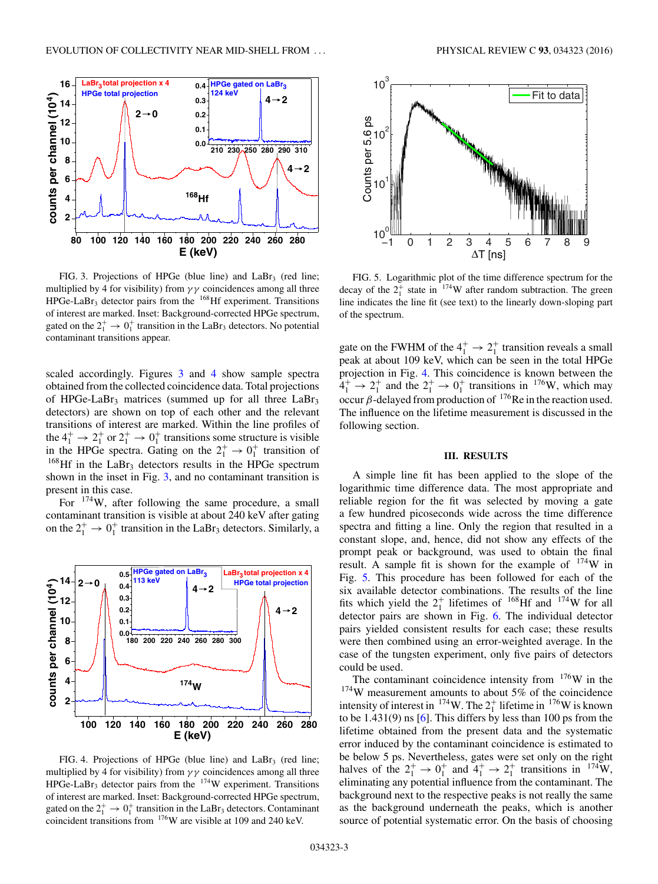

FIG. 3. Projections of HPGe (blue line) and  $LaBr<sub>3</sub>$  (red line; multiplied by 4 for visibility) from *γ γ* coincidences among all three  $HPGe-LaBr<sub>3</sub>$  detector pairs from the  $168$ Hf experiment. Transitions of interest are marked. Inset: Background-corrected HPGe spectrum, gated on the  $2^+_1 \rightarrow 0^+_1$  transition in the LaBr<sub>3</sub> detectors. No potential contaminant transitions appear.

scaled accordingly. Figures 3 and 4 show sample spectra obtained from the collected coincidence data. Total projections of HPGe-LaBr<sub>3</sub> matrices (summed up for all three LaBr<sub>3</sub> detectors) are shown on top of each other and the relevant transitions of interest are marked. Within the line profiles of the  $4^+_1 \rightarrow 2^+_1$  or  $2^+_1 \rightarrow 0^+_1$  transitions some structure is visible in the HPGe spectra. Gating on the  $2^+_1 \rightarrow 0^+_1$  transition of  $168$ Hf in the LaBr<sub>3</sub> detectors results in the HPGe spectrum shown in the inset in Fig. 3, and no contaminant transition is present in this case.

For 174W, after following the same procedure, a small contaminant transition is visible at about 240 keV after gating on the  $2^+_1 \rightarrow 0^+_1$  transition in the LaBr<sub>3</sub> detectors. Similarly, a



FIG. 4. Projections of HPGe (blue line) and  $LaBr<sub>3</sub>$  (red line; multiplied by 4 for visibility) from  $\gamma \gamma$  coincidences among all three HPGe-LaBr3 detector pairs from the 174W experiment. Transitions of interest are marked. Inset: Background-corrected HPGe spectrum, gated on the  $2^+_1 \rightarrow 0^+_1$  transition in the LaBr<sub>3</sub> detectors. Contaminant coincident transitions from 176W are visible at 109 and 240 keV.





FIG. 5. Logarithmic plot of the time difference spectrum for the decay of the  $2^+_1$  state in <sup>174</sup>W after random subtraction. The green line indicates the line fit (see text) to the linearly down-sloping part of the spectrum.

gate on the FWHM of the  $4_1^+ \rightarrow 2_1^+$  transition reveals a small peak at about 109 keV, which can be seen in the total HPGe projection in Fig. 4. This coincidence is known between the  $4_1^+ \rightarrow 2_1^+$  and the  $2_1^+ \rightarrow 0_1^+$  transitions in <sup>176</sup>W, which may occur *β*-delayed from production of 176Re in the reaction used. The influence on the lifetime measurement is discussed in the following section.

#### **III. RESULTS**

A simple line fit has been applied to the slope of the logarithmic time difference data. The most appropriate and reliable region for the fit was selected by moving a gate a few hundred picoseconds wide across the time difference spectra and fitting a line. Only the region that resulted in a constant slope, and, hence, did not show any effects of the prompt peak or background, was used to obtain the final result. A sample fit is shown for the example of  $174$ W in Fig. 5. This procedure has been followed for each of the six available detector combinations. The results of the line fits which yield the  $2^+_1$  lifetimes of <sup>168</sup>Hf and <sup>174</sup>W for all detector pairs are shown in Fig. [6.](#page-3-0) The individual detector pairs yielded consistent results for each case; these results were then combined using an error-weighted average. In the case of the tungsten experiment, only five pairs of detectors could be used.

The contaminant coincidence intensity from  $176$ W in the <sup>174</sup>W measurement amounts to about 5% of the coincidence intensity of interest in <sup>174</sup>W. The  $2^+_1$  lifetime in <sup>176</sup>W is known to be  $1.431(9)$  ns [\[6\]](#page-5-0). This differs by less than 100 ps from the lifetime obtained from the present data and the systematic error induced by the contaminant coincidence is estimated to be below 5 ps. Nevertheless, gates were set only on the right halves of the  $2^+_1 \rightarrow 0^+_1$  and  $4^+_1 \rightarrow 2^+_1$  transitions in <sup>174</sup>W, eliminating any potential influence from the contaminant. The background next to the respective peaks is not really the same as the background underneath the peaks, which is another source of potential systematic error. On the basis of choosing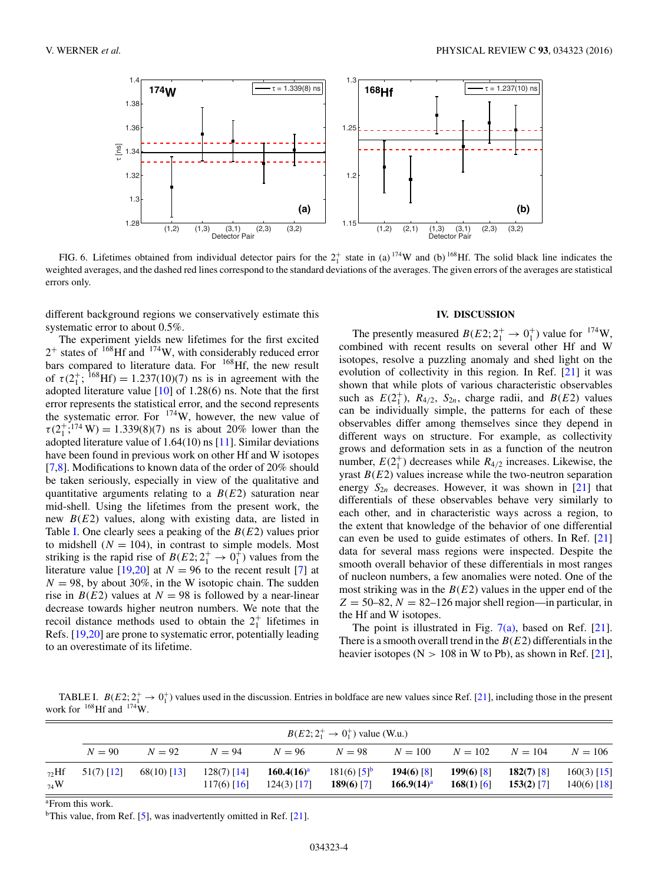<span id="page-3-0"></span>

FIG. 6. Lifetimes obtained from individual detector pairs for the  $2^+_1$  state in (a)  $^{174}$ W and (b)  $^{168}$ Hf. The solid black line indicates the weighted averages, and the dashed red lines correspond to the standard deviations of the averages. The given errors of the averages are statistical errors only.

different background regions we conservatively estimate this systematic error to about 0.5%.

The experiment yields new lifetimes for the first excited  $2^+$  states of <sup>168</sup>Hf and <sup>174</sup>W, with considerably reduced error bars compared to literature data. For <sup>168</sup>Hf, the new result of  $\tau (2_1^+; {}^{168}Hf) = 1.237(10)(7)$  ns is in agreement with the adopted literature value  $[10]$  of 1.28(6) ns. Note that the first error represents the statistical error, and the second represents the systematic error. For  $174$ W, however, the new value of  $\tau(2^{+}_{1};^{174} W) = 1.339(8)(7)$  ns is about 20% lower than the adopted literature value of 1.64(10) ns [\[11\]](#page-5-0). Similar deviations have been found in previous work on other Hf and W isotopes [\[7,8\]](#page-5-0). Modifications to known data of the order of 20% should be taken seriously, especially in view of the qualitative and quantitative arguments relating to a *B*(*E*2) saturation near mid-shell. Using the lifetimes from the present work, the new *B*(*E*2) values, along with existing data, are listed in Table I. One clearly sees a peaking of the *B*(*E*2) values prior to midshell  $(N = 104)$ , in contrast to simple models. Most striking is the rapid rise of  $B(E2; 2^+_1 \rightarrow 0^+_1)$  values from the literature value [\[19,20\]](#page-5-0) at  $N = 96$  to the recent result [\[7\]](#page-5-0) at  $N = 98$ , by about 30%, in the W isotopic chain. The sudden rise in *B*(*E*2) values at *N* = 98 is followed by a near-linear decrease towards higher neutron numbers. We note that the recoil distance methods used to obtain the  $2^+_1$  lifetimes in Refs. [\[19,20\]](#page-5-0) are prone to systematic error, potentially leading to an overestimate of its lifetime.

# **IV. DISCUSSION**

The presently measured  $B(E2; 2^+_1 \rightarrow 0^+_1)$  value for <sup>174</sup>W, combined with recent results on several other Hf and W isotopes, resolve a puzzling anomaly and shed light on the evolution of collectivity in this region. In Ref. [\[21\]](#page-5-0) it was shown that while plots of various characteristic observables such as  $E(2_1^+), R_{4/2}, S_{2n}$ , charge radii, and  $B(E2)$  values can be individually simple, the patterns for each of these observables differ among themselves since they depend in different ways on structure. For example, as collectivity grows and deformation sets in as a function of the neutron number,  $E(2_1^+)$  decreases while  $R_{4/2}$  increases. Likewise, the yrast *B*(*E*2) values increase while the two-neutron separation energy  $S_{2n}$  decreases. However, it was shown in [\[21\]](#page-5-0) that differentials of these observables behave very similarly to each other, and in characteristic ways across a region, to the extent that knowledge of the behavior of one differential can even be used to guide estimates of others. In Ref. [\[21\]](#page-5-0) data for several mass regions were inspected. Despite the smooth overall behavior of these differentials in most ranges of nucleon numbers, a few anomalies were noted. One of the most striking was in the  $B(E2)$  values in the upper end of the  $Z = 50-82$ ,  $N = 82-126$  major shell region—in particular, in the Hf and W isotopes.

The point is illustrated in Fig.  $7(a)$ , based on Ref. [\[21\]](#page-5-0). There is a smooth overall trend in the *B*(*E*2) differentials in the heavier isotopes ( $N > 108$  in W to Pb), as shown in Ref. [\[21\]](#page-5-0),

TABLE I.  $B(E2; 2^+_1 \rightarrow 0^+_1)$  values used in the discussion. Entries in boldface are new values since Ref. [\[21\]](#page-5-0), including those in the present work for  $168$ Hf and  $174$ W.

|                | $B(E2; 2^+_1 \rightarrow 0^+_1)$ value (W.u.) |               |                                |                                |                                           |                               |                              |                              |                                |
|----------------|-----------------------------------------------|---------------|--------------------------------|--------------------------------|-------------------------------------------|-------------------------------|------------------------------|------------------------------|--------------------------------|
|                | $N = 90$                                      | $N=92$        | $N = 94$                       | $N = 96$                       | $N = 98$                                  | $N = 100$                     | $N=102$                      | $N = 104$                    | $N = 106$                      |
| $72$ Hf<br>74W | $51(7)$ [12]                                  | $68(10)$ [13] | $128(7)$ [14]<br>$117(6)$ [16] | $160.4(16)^a$<br>$124(3)$ [17] | $181(6)$ [5] <sup>b</sup><br>$189(6)$ [7] | $194(6)$ [8]<br>$166.9(14)^a$ | $199(6)$ [8]<br>$168(1)$ [6] | $182(7)$ [8]<br>$153(2)$ [7] | $160(3)$ [15]<br>$140(6)$ [18] |

a From this work.

<sup>b</sup>This value, from Ref. [\[5\]](#page-5-0), was inadvertently omitted in Ref. [\[21\]](#page-5-0).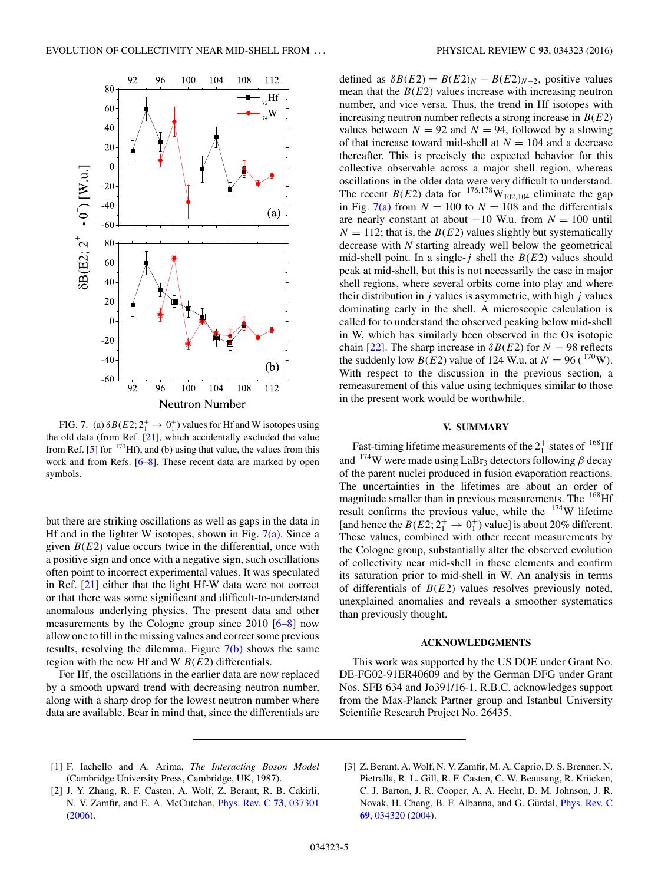<span id="page-4-0"></span>

FIG. 7. (a)  $\delta B(E2; 2^+_1 \rightarrow 0^+_1)$  values for Hf and W isotopes using the old data (from Ref. [\[21\]](#page-5-0), which accidentally excluded the value from Ref. [\[5\]](#page-5-0) for  $170$ Hf), and (b) using that value, the values from this work and from Refs. [\[6–8\]](#page-5-0). These recent data are marked by open symbols.

but there are striking oscillations as well as gaps in the data in Hf and in the lighter W isotopes, shown in Fig.  $7(a)$ . Since a given  $B(E2)$  value occurs twice in the differential, once with a positive sign and once with a negative sign, such oscillations often point to incorrect experimental values. It was speculated in Ref. [\[21\]](#page-5-0) either that the light Hf-W data were not correct or that there was some significant and difficult-to-understand anomalous underlying physics. The present data and other measurements by the Cologne group since 2010 [\[6–8\]](#page-5-0) now allow one to fill in the missing values and correct some previous results, resolving the dilemma. Figure  $7(b)$  shows the same region with the new Hf and W *B*(*E*2) differentials.

For Hf, the oscillations in the earlier data are now replaced by a smooth upward trend with decreasing neutron number, along with a sharp drop for the lowest neutron number where data are available. Bear in mind that, since the differentials are

defined as  $\delta B(E2) = B(E2)_N - B(E2)_{N-2}$ , positive values mean that the  $B(E2)$  values increase with increasing neutron number, and vice versa. Thus, the trend in Hf isotopes with increasing neutron number reflects a strong increase in *B*(*E*2) values between  $N = 92$  and  $N = 94$ , followed by a slowing of that increase toward mid-shell at  $N = 104$  and a decrease thereafter. This is precisely the expected behavior for this collective observable across a major shell region, whereas oscillations in the older data were very difficult to understand. The recent *B*(*E*2) data for <sup>176,178</sup>W<sub>102,104</sub> eliminate the gap in Fig. 7(a) from  $N = 100$  to  $N = 108$  and the differentials are nearly constant at about −10 W.u. from *N* = 100 until  $N = 112$ ; that is, the *B(E2)* values slightly but systematically decrease with *N* starting already well below the geometrical mid-shell point. In a single- $j$  shell the  $B(E2)$  values should peak at mid-shell, but this is not necessarily the case in major shell regions, where several orbits come into play and where their distribution in *j* values is asymmetric, with high *j* values dominating early in the shell. A microscopic calculation is called for to understand the observed peaking below mid-shell in W, which has similarly been observed in the Os isotopic chain [\[22\]](#page-5-0). The sharp increase in  $\delta B(E2)$  for  $N = 98$  reflects the suddenly low *B*(*E*2) value of 124 W.u. at  $N = 96$  ( $^{170}$ W). With respect to the discussion in the previous section, a remeasurement of this value using techniques similar to those in the present work would be worthwhile.

#### **V. SUMMARY**

Fast-timing lifetime measurements of the  $2^+_1$  states of  $^{168}$ Hf and 174W were made using LaBr3 detectors following *β* decay of the parent nuclei produced in fusion evaporation reactions. The uncertainties in the lifetimes are about an order of magnitude smaller than in previous measurements. The <sup>168</sup>Hf result confirms the previous value, while the 174W lifetime [and hence the  $B(E2; 2^+_1 \rightarrow 0^+_1)$  value] is about 20% different. These values, combined with other recent measurements by the Cologne group, substantially alter the observed evolution of collectivity near mid-shell in these elements and confirm its saturation prior to mid-shell in W. An analysis in terms of differentials of *B*(*E*2) values resolves previously noted, unexplained anomalies and reveals a smoother systematics than previously thought.

### **ACKNOWLEDGMENTS**

This work was supported by the US DOE under Grant No. DE-FG02-91ER40609 and by the German DFG under Grant Nos. SFB 634 and Jo391/16-1. R.B.C. acknowledges support from the Max-Planck Partner group and Istanbul University Scientific Research Project No. 26435.

- [1] F. Iachello and A. Arima, *The Interacting Boson Model* (Cambridge University Press, Cambridge, UK, 1987).
- [2] J. Y. Zhang, R. F. Casten, A. Wolf, Z. Berant, R. B. Cakirli, N. V. Zamfir, and E. A. McCutchan, [Phys. Rev. C](http://dx.doi.org/10.1103/PhysRevC.73.037301) **[73](http://dx.doi.org/10.1103/PhysRevC.73.037301)**, [037301](http://dx.doi.org/10.1103/PhysRevC.73.037301) [\(2006\)](http://dx.doi.org/10.1103/PhysRevC.73.037301).
- [3] Z. Berant, A. Wolf, N. V. Zamfir, M. A. Caprio, D. S. Brenner, N. Pietralla, R. L. Gill, R. F. Casten, C. W. Beausang, R. Krücken, C. J. Barton, J. R. Cooper, A. A. Hecht, D. M. Johnson, J. R. Novak, H. Cheng, B. F. Albanna, and G. Gürdal, *[Phys. Rev. C](http://dx.doi.org/10.1103/PhysRevC.69.034320)* **[69](http://dx.doi.org/10.1103/PhysRevC.69.034320)**, [034320](http://dx.doi.org/10.1103/PhysRevC.69.034320) [\(2004\)](http://dx.doi.org/10.1103/PhysRevC.69.034320).